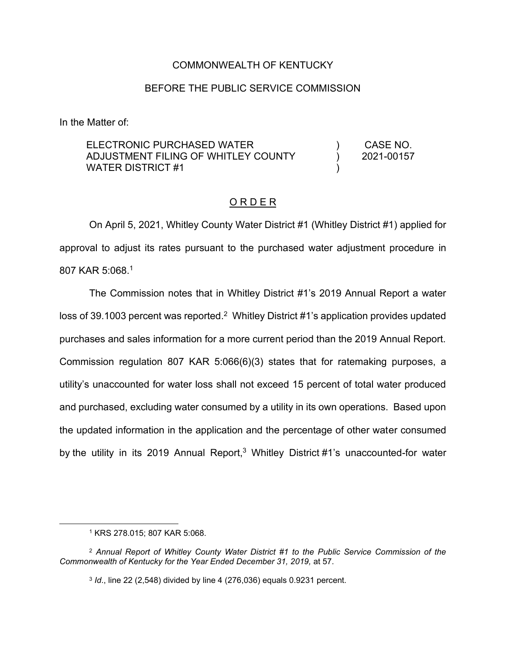### COMMONWEALTH OF KENTUCKY

#### BEFORE THE PUBLIC SERVICE COMMISSION

In the Matter of:

| ELECTRONIC PURCHASED WATER          | CASE NO.   |
|-------------------------------------|------------|
| ADJUSTMENT FILING OF WHITLEY COUNTY | 2021-00157 |
| <b>WATER DISTRICT #1</b>            |            |

### O R D E R

On April 5, 2021, Whitley County Water District #1 (Whitley District #1) applied for approval to adjust its rates pursuant to the purchased water adjustment procedure in 807 KAR 5:068. 1

The Commission notes that in Whitley District #1's 2019 Annual Report a water loss of 39.1003 percent was reported.<sup>2</sup> Whitley District #1's application provides updated purchases and sales information for a more current period than the 2019 Annual Report. Commission regulation 807 KAR 5:066(6)(3) states that for ratemaking purposes, a utility's unaccounted for water loss shall not exceed 15 percent of total water produced and purchased, excluding water consumed by a utility in its own operations. Based upon the updated information in the application and the percentage of other water consumed by the utility in its 2019 Annual Report,<sup>3</sup> Whitley District #1's unaccounted-for water

<sup>1</sup> KRS 278.015; 807 KAR 5:068.

<sup>2</sup> *Annual Report of Whitley County Water District #1 to the Public Service Commission of the Commonwealth of Kentucky for the Year Ended December 31, 2019,* at 57.

<sup>3</sup> *Id*., line 22 (2,548) divided by line 4 (276,036) equals 0.9231 percent.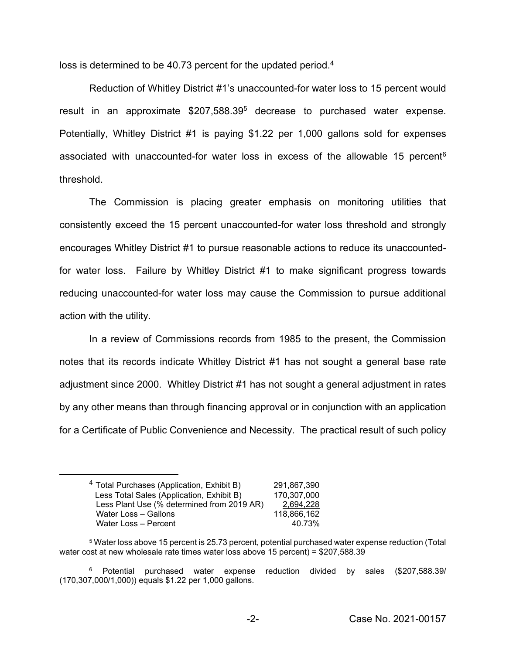loss is determined to be 40.73 percent for the updated period.<sup>4</sup>

Reduction of Whitley District #1's unaccounted-for water loss to 15 percent would result in an approximate \$207,588.39<sup>5</sup> decrease to purchased water expense. Potentially, Whitley District #1 is paying \$1.22 per 1,000 gallons sold for expenses associated with unaccounted-for water loss in excess of the allowable 15 percent<sup>6</sup> threshold.

The Commission is placing greater emphasis on monitoring utilities that consistently exceed the 15 percent unaccounted-for water loss threshold and strongly encourages Whitley District #1 to pursue reasonable actions to reduce its unaccountedfor water loss. Failure by Whitley District #1 to make significant progress towards reducing unaccounted-for water loss may cause the Commission to pursue additional action with the utility.

In a review of Commissions records from 1985 to the present, the Commission notes that its records indicate Whitley District #1 has not sought a general base rate adjustment since 2000. Whitley District #1 has not sought a general adjustment in rates by any other means than through financing approval or in conjunction with an application for a Certificate of Public Convenience and Necessity. The practical result of such policy

<sup>6</sup> Potential purchased water expense reduction divided by sales (\$207,588.39/ (170,307,000/1,000)) equals \$1.22 per 1,000 gallons.

<sup>4</sup> Total Purchases (Application, Exhibit B) 291,867,390 Less Total Sales (Application, Exhibit B) 170,307,000 Less Plant Use (% determined from 2019 AR) 2,694,228 Water Loss – Gallons 118,866,162 Water Loss – Percent 40.73%

<sup>5</sup> Water loss above 15 percent is 25.73 percent, potential purchased water expense reduction (Total water cost at new wholesale rate times water loss above 15 percent) = \$207,588.39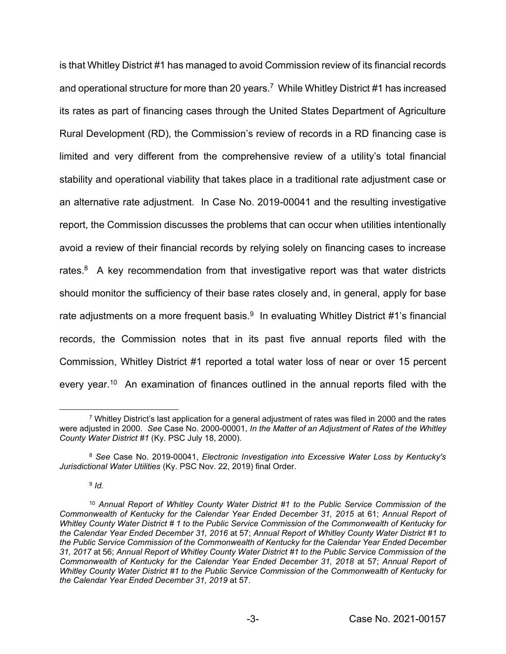is that Whitley District #1 has managed to avoid Commission review of its financial records and operational structure for more than 20 years.<sup>7</sup> While Whitley District #1 has increased its rates as part of financing cases through the United States Department of Agriculture Rural Development (RD), the Commission's review of records in a RD financing case is limited and very different from the comprehensive review of a utility's total financial stability and operational viability that takes place in a traditional rate adjustment case or an alternative rate adjustment. In Case No. 2019-00041 and the resulting investigative report, the Commission discusses the problems that can occur when utilities intentionally avoid a review of their financial records by relying solely on financing cases to increase rates. $8$  A key recommendation from that investigative report was that water districts should monitor the sufficiency of their base rates closely and, in general, apply for base rate adjustments on a more frequent basis. $9 \text{ In evaluating Whitney District #1's financial}$ records, the Commission notes that in its past five annual reports filed with the Commission, Whitley District #1 reported a total water loss of near or over 15 percent every year.<sup>10</sup> An examination of finances outlined in the annual reports filed with the

<sup>9</sup> *Id.* 

 $7$  Whitley District's last application for a general adjustment of rates was filed in 2000 and the rates were adjusted in 2000. *See* Case No. 2000-00001, *In the Matter of an Adjustment of Rates of the Whitley County Water District #1* (Ky. PSC July 18, 2000).

<sup>8</sup> *See* Case No. 2019-00041, *Electronic Investigation into Excessive Water Loss by Kentucky's Jurisdictional Water Utilities* (Ky. PSC Nov. 22, 2019) final Order.

<sup>10</sup> *Annual Report of Whitley County Water District #1 to the Public Service Commission of the Commonwealth of Kentucky for the Calendar Year Ended December 31, 2015* at 61; *Annual Report of Whitley County Water District # 1 to the Public Service Commission of the Commonwealth of Kentucky for the Calendar Year Ended December 31, 2016* at 57; *Annual Report of Whitley County Water District #1 to the Public Service Commission of the Commonwealth of Kentucky for the Calendar Year Ended December 31, 2017* at 56; *Annual Report of Whitley County Water District #1 to the Public Service Commission of the Commonwealth of Kentucky for the Calendar Year Ended December 31, 2018* at 57; *Annual Report of Whitley County Water District #1 to the Public Service Commission of the Commonwealth of Kentucky for the Calendar Year Ended December 31, 2019* at 57.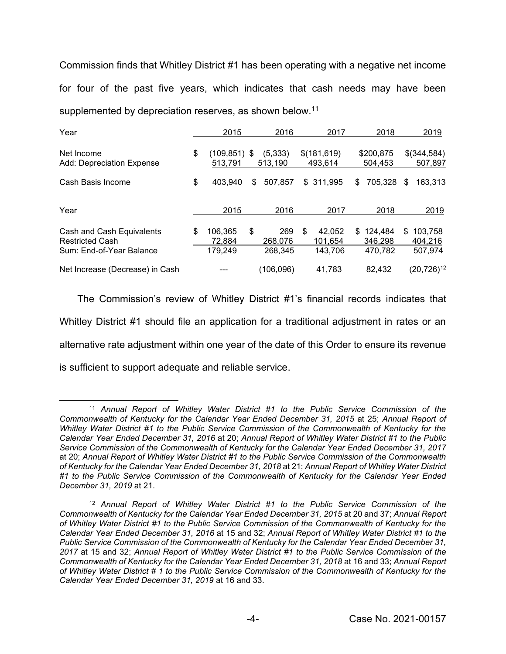Commission finds that Whitley District #1 has been operating with a negative net income for four of the past five years, which indicates that cash needs may have been supplemented by depreciation reserves, as shown below.<sup>11</sup>

| Year                                                                            | 2015                               | 2016                            |   | 2017                         |     | 2018                          |     | 2019                          |
|---------------------------------------------------------------------------------|------------------------------------|---------------------------------|---|------------------------------|-----|-------------------------------|-----|-------------------------------|
| Net Income<br>Add: Depreciation Expense                                         | \$<br>(109,851)<br>513,791         | \$<br>(5, 333)<br>513,190       |   | \$(181,619)<br>493,614       |     | \$200,875<br>504.453          |     | \$(344,584)<br>507,897        |
| Cash Basis Income                                                               | \$<br>403,940                      | \$<br>507,857                   |   | \$ 311.995                   | \$  | 705,328                       | S   | 163,313                       |
| Year                                                                            | 2015                               | 2016                            |   | 2017                         |     | 2018                          |     | 2019                          |
| Cash and Cash Equivalents<br><b>Restricted Cash</b><br>Sum: End-of-Year Balance | \$<br>106,365<br>72.884<br>179.249 | \$<br>269<br>268.076<br>268.345 | S | 42.052<br>101.654<br>143.706 | \$. | 124.484<br>346.298<br>470.782 | \$. | 103.758<br>404,216<br>507.974 |
| Net Increase (Decrease) in Cash                                                 |                                    | (106, 096)                      |   | 41,783                       |     | 82,432                        |     | $(20, 726)^{12}$              |

The Commission's review of Whitley District #1's financial records indicates that Whitley District #1 should file an application for a traditional adjustment in rates or an alternative rate adjustment within one year of the date of this Order to ensure its revenue is sufficient to support adequate and reliable service.

<sup>11</sup> *Annual Report of Whitley Water District #1 to the Public Service Commission of the Commonwealth of Kentucky for the Calendar Year Ended December 31, 2015* at 25; *Annual Report of Whitley Water District #1 to the Public Service Commission of the Commonwealth of Kentucky for the Calendar Year Ended December 31, 2016* at 20; *Annual Report of Whitley Water District #1 to the Public Service Commission of the Commonwealth of Kentucky for the Calendar Year Ended December 31, 2017*  at 20; *Annual Report of Whitley Water District #1 to the Public Service Commission of the Commonwealth of Kentucky for the Calendar Year Ended December 31, 2018* at 21; *Annual Report of Whitley Water District #1 to the Public Service Commission of the Commonwealth of Kentucky for the Calendar Year Ended December 31, 2019* at 21.

<sup>12</sup> *Annual Report of Whitley Water District #1 to the Public Service Commission of the Commonwealth of Kentucky for the Calendar Year Ended December 31, 2015* at 20 and 37; *Annual Report of Whitley Water District #1 to the Public Service Commission of the Commonwealth of Kentucky for the Calendar Year Ended December 31, 2016* at 15 and 32; *Annual Report of Whitley Water District #1 to the Public Service Commission of the Commonwealth of Kentucky for the Calendar Year Ended December 31, 2017* at 15 and 32; *Annual Report of Whitley Water District #1 to the Public Service Commission of the Commonwealth of Kentucky for the Calendar Year Ended December 31, 2018* at 16 and 33; *Annual Report of Whitley Water District # 1 to the Public Service Commission of the Commonwealth of Kentucky for the Calendar Year Ended December 31, 2019* at 16 and 33.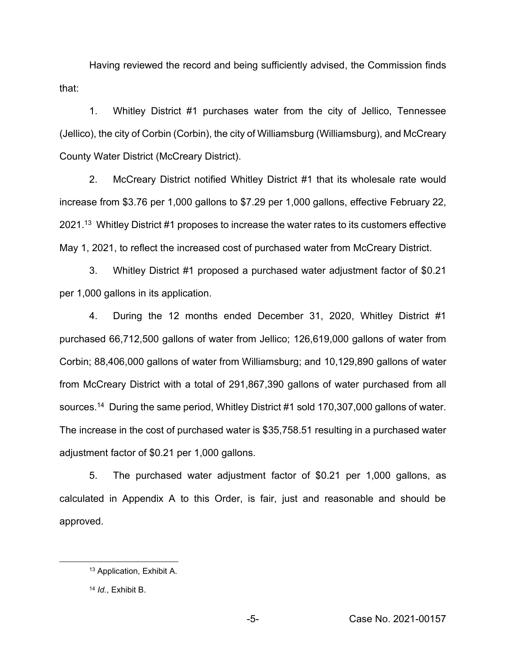Having reviewed the record and being sufficiently advised, the Commission finds that:

1. Whitley District #1 purchases water from the city of Jellico, Tennessee (Jellico), the city of Corbin (Corbin), the city of Williamsburg (Williamsburg), and McCreary County Water District (McCreary District).

2. McCreary District notified Whitley District #1 that its wholesale rate would increase from \$3.76 per 1,000 gallons to \$7.29 per 1,000 gallons, effective February 22, 2021.<sup>13</sup> Whitley District #1 proposes to increase the water rates to its customers effective May 1, 2021, to reflect the increased cost of purchased water from McCreary District.

3. Whitley District #1 proposed a purchased water adjustment factor of \$0.21 per 1,000 gallons in its application.

4. During the 12 months ended December 31, 2020, Whitley District #1 purchased 66,712,500 gallons of water from Jellico; 126,619,000 gallons of water from Corbin; 88,406,000 gallons of water from Williamsburg; and 10,129,890 gallons of water from McCreary District with a total of 291,867,390 gallons of water purchased from all sources. 14 During the same period, Whitley District #1 sold 170,307,000 gallons of water. The increase in the cost of purchased water is \$35,758.51 resulting in a purchased water adjustment factor of \$0.21 per 1,000 gallons.

5. The purchased water adjustment factor of \$0.21 per 1,000 gallons, as calculated in Appendix A to this Order, is fair, just and reasonable and should be approved.

<sup>13</sup> Application, Exhibit A.

<sup>14</sup> *Id.*, Exhibit B.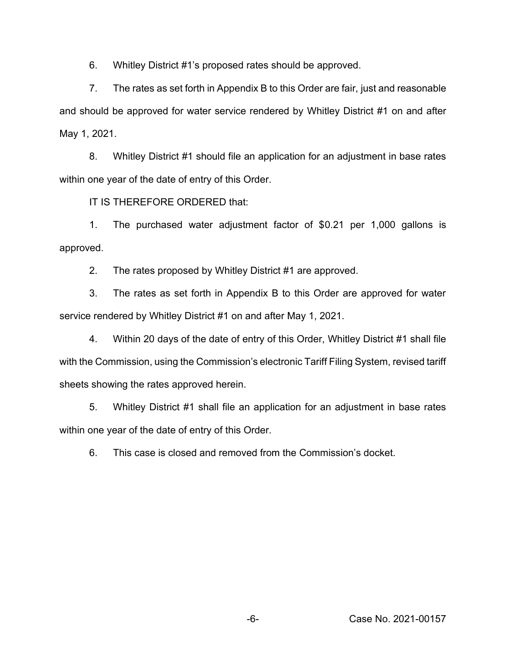6. Whitley District #1's proposed rates should be approved.

7. The rates as set forth in Appendix B to this Order are fair, just and reasonable and should be approved for water service rendered by Whitley District #1 on and after May 1, 2021.

8. Whitley District #1 should file an application for an adjustment in base rates within one year of the date of entry of this Order.

IT IS THEREFORE ORDERED that:

1. The purchased water adjustment factor of \$0.21 per 1,000 gallons is approved.

2. The rates proposed by Whitley District #1 are approved.

3. The rates as set forth in Appendix B to this Order are approved for water service rendered by Whitley District #1 on and after May 1, 2021.

4. Within 20 days of the date of entry of this Order, Whitley District #1 shall file with the Commission, using the Commission's electronic Tariff Filing System, revised tariff sheets showing the rates approved herein.

5. Whitley District #1 shall file an application for an adjustment in base rates within one year of the date of entry of this Order.

6. This case is closed and removed from the Commission's docket.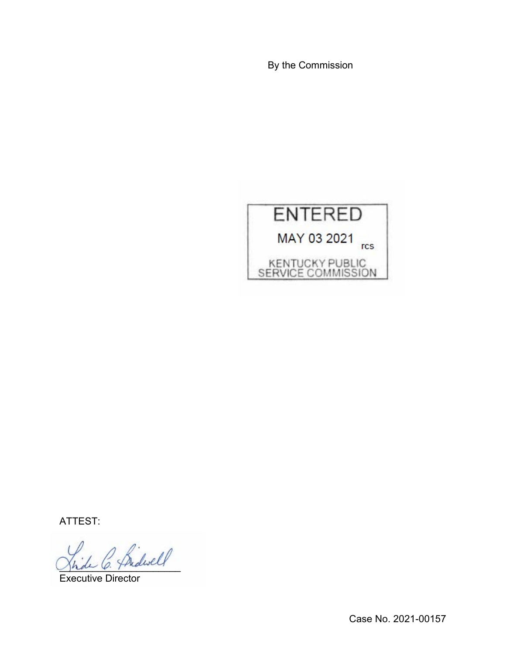By the Commission



ATTEST:

\_\_\_\_\_\_\_\_\_\_\_\_\_\_\_\_\_\_\_\_\_\_

Executive Director

Case No. 2021-00157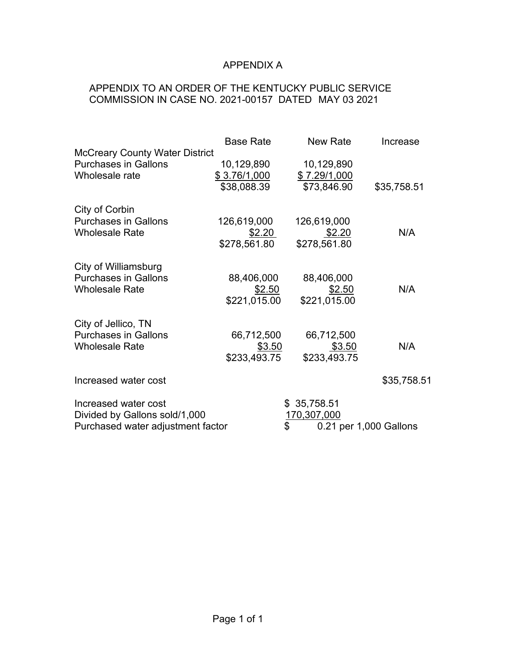# APPENDIX A

## APPENDIX TO AN ORDER OF THE KENTUCKY PUBLIC SERVICE COMMISSION IN CASE NO. 2021-00157 DATED MAY 03 2021

|                                                                                            | <b>Base Rate</b> | New Rate                                                   | Increase    |
|--------------------------------------------------------------------------------------------|------------------|------------------------------------------------------------|-------------|
| <b>McCreary County Water District</b>                                                      | 10,129,890       | 10,129,890                                                 | \$35,758.51 |
| <b>Purchases in Gallons</b>                                                                | \$3.76/1,000     | \$7.29/1,000                                               |             |
| Wholesale rate                                                                             | \$38,088.39      | \$73,846.90                                                |             |
| City of Corbin                                                                             | 126,619,000      | 126,619,000                                                | N/A         |
| <b>Purchases in Gallons</b>                                                                | \$2.20           | \$2.20                                                     |             |
| <b>Wholesale Rate</b>                                                                      | \$278,561.80     | \$278,561.80                                               |             |
| City of Williamsburg                                                                       | 88,406,000       | 88,406,000                                                 | N/A         |
| <b>Purchases in Gallons</b>                                                                | \$2.50           | \$2.50                                                     |             |
| <b>Wholesale Rate</b>                                                                      | \$221,015.00     | \$221,015.00                                               |             |
| City of Jellico, TN                                                                        | 66,712,500       | 66,712,500                                                 | N/A         |
| <b>Purchases in Gallons</b>                                                                | \$3.50           | \$3.50                                                     |             |
| <b>Wholesale Rate</b>                                                                      | \$233,493.75     | \$233,493.75                                               |             |
| Increased water cost                                                                       |                  |                                                            | \$35,758.51 |
| Increased water cost<br>Divided by Gallons sold/1,000<br>Purchased water adjustment factor |                  | \$35,758.51<br>170,307,000<br>\$<br>0.21 per 1,000 Gallons |             |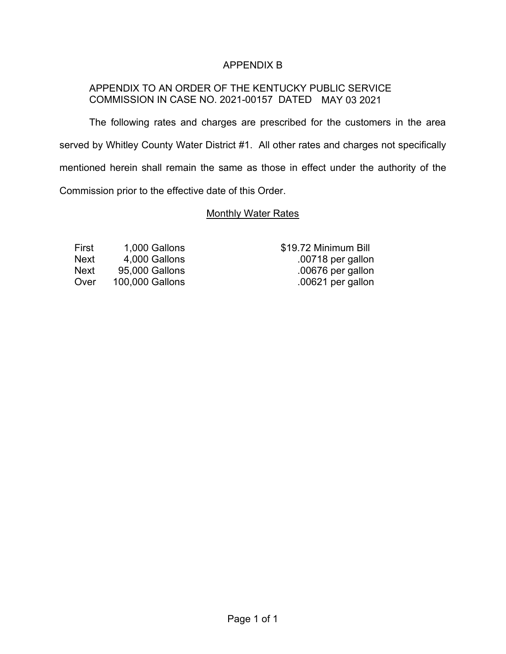## APPENDIX B

## APPENDIX TO AN ORDER OF THE KENTUCKY PUBLIC SERVICE COMMISSION IN CASE NO. 2021-00157 DATED MAY 03 2021

The following rates and charges are prescribed for the customers in the area served by Whitley County Water District #1. All other rates and charges not specifically mentioned herein shall remain the same as those in effect under the authority of the Commission prior to the effective date of this Order.

### Monthly Water Rates

First 1,000 Gallons \$19.72 Minimum Bill Next 4,000 Gallons .00718 per gallon Next 95,000 Gallons .00676 per gallon Over 100,000 Gallons .00621 per gallon